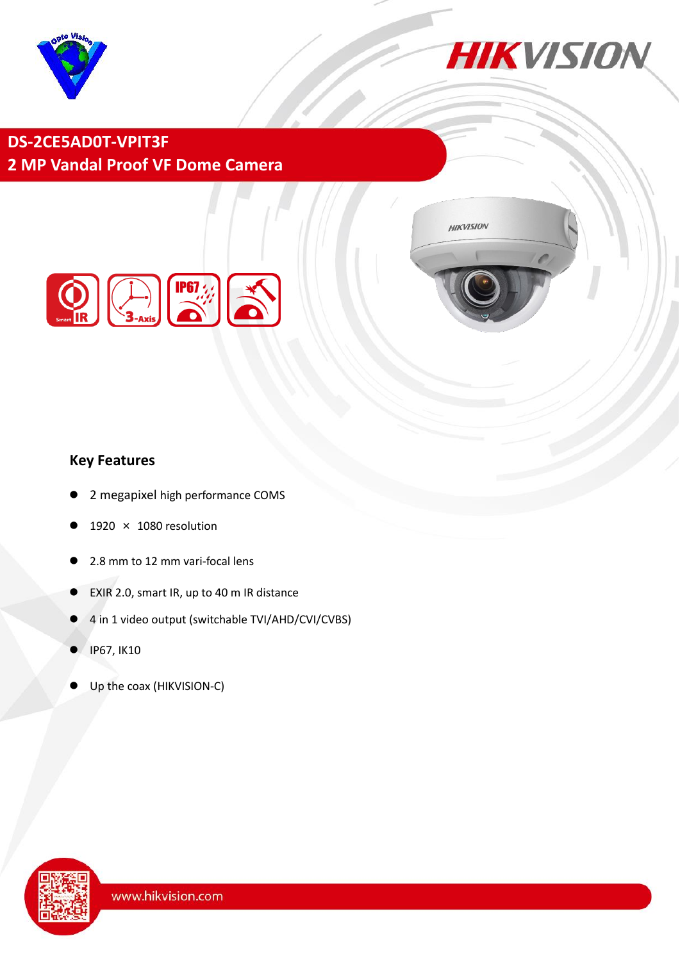



**HIKVISION** 

## **DS-2CE5AD0T-VPIT3F 2 MP Vandal Proof VF Dome Camera**



### **Key Features**

- 2 megapixel high performance COMS
- 1920 × 1080 resolution
- 2.8 mm to 12 mm vari-focal lens
- EXIR 2.0, smart IR, up to 40 m IR distance
- 4 in 1 video output (switchable TVI/AHD/CVI/CVBS)
- IP67, IK10
- Up the coax (HIKVISION-C)

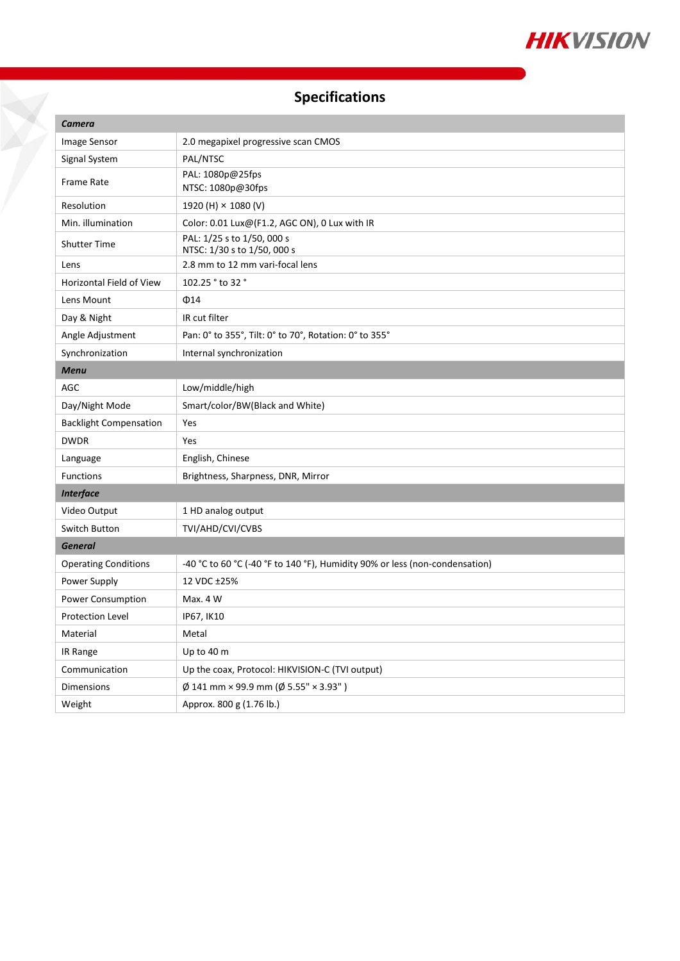

# **Specifications**

7

| <b>Camera</b>                 |                                                                             |
|-------------------------------|-----------------------------------------------------------------------------|
| <b>Image Sensor</b>           | 2.0 megapixel progressive scan CMOS                                         |
| Signal System                 | PAL/NTSC                                                                    |
| Frame Rate                    | PAL: 1080p@25fps<br>NTSC: 1080p@30fps                                       |
| Resolution                    | 1920 (H) × 1080 (V)                                                         |
| Min. illumination             | Color: 0.01 Lux@(F1.2, AGC ON), 0 Lux with IR                               |
| <b>Shutter Time</b>           | PAL: 1/25 s to 1/50, 000 s<br>NTSC: 1/30 s to 1/50, 000 s                   |
| Lens                          | 2.8 mm to 12 mm vari-focal lens                                             |
| Horizontal Field of View      | 102.25 ° to 32 °                                                            |
| Lens Mount                    | $\Phi$ 14                                                                   |
| Day & Night                   | IR cut filter                                                               |
| Angle Adjustment              | Pan: 0° to 355°, Tilt: 0° to 70°, Rotation: 0° to 355°                      |
| Synchronization               | Internal synchronization                                                    |
| <b>Menu</b>                   |                                                                             |
| <b>AGC</b>                    | Low/middle/high                                                             |
| Day/Night Mode                | Smart/color/BW(Black and White)                                             |
| <b>Backlight Compensation</b> | Yes                                                                         |
| <b>DWDR</b>                   | Yes                                                                         |
| Language                      | English, Chinese                                                            |
| Functions                     | Brightness, Sharpness, DNR, Mirror                                          |
| <b>Interface</b>              |                                                                             |
| Video Output                  | 1 HD analog output                                                          |
| Switch Button                 | TVI/AHD/CVI/CVBS                                                            |
| <b>General</b>                |                                                                             |
| <b>Operating Conditions</b>   | -40 °C to 60 °C (-40 °F to 140 °F), Humidity 90% or less (non-condensation) |
| Power Supply                  | 12 VDC ±25%                                                                 |
| Power Consumption             | Max. 4 W                                                                    |
| <b>Protection Level</b>       | IP67, IK10                                                                  |
| Material                      | Metal                                                                       |
| IR Range                      | Up to 40 m                                                                  |
| Communication                 | Up the coax, Protocol: HIKVISION-C (TVI output)                             |
| <b>Dimensions</b>             | $\emptyset$ 141 mm × 99.9 mm ( $\emptyset$ 5.55" × 3.93")                   |
| Weight                        | Approx. 800 g (1.76 lb.)                                                    |